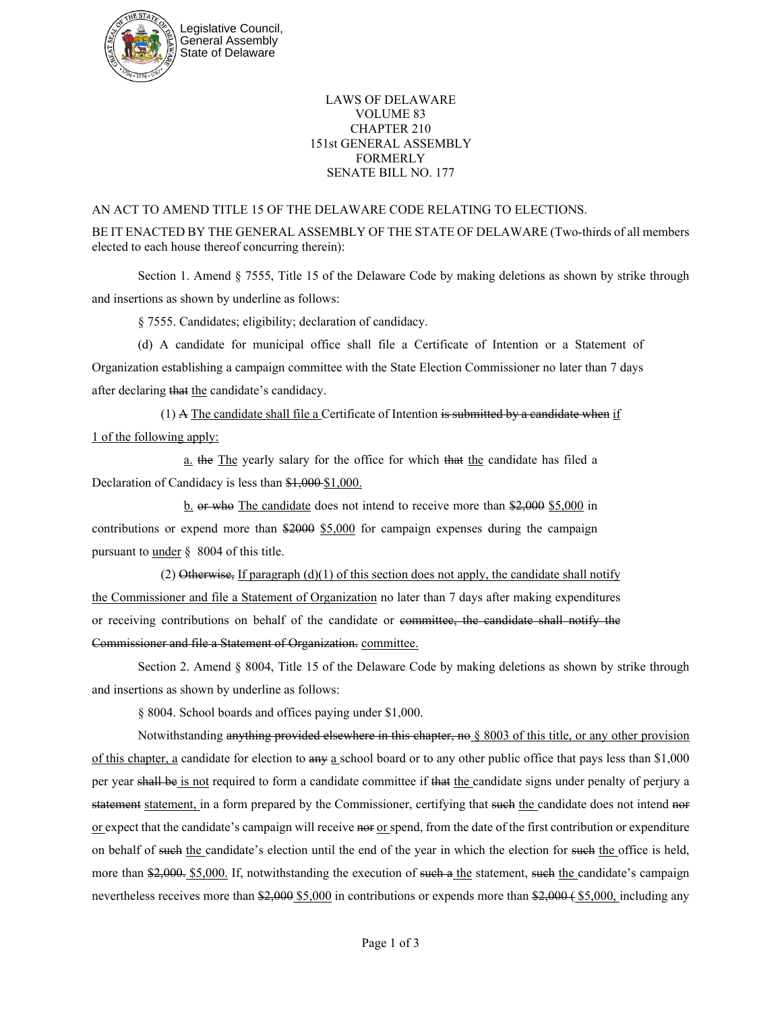

## LAWS OF DELAWARE VOLUME 83 CHAPTER 210 151st GENERAL ASSEMBLY FORMERLY SENATE BILL NO. 177

## AN ACT TO AMEND TITLE 15 OF THE DELAWARE CODE RELATING TO ELECTIONS.

BE IT ENACTED BY THE GENERAL ASSEMBLY OF THE STATE OF DELAWARE (Two-thirds of all members elected to each house thereof concurring therein):

Section 1. Amend § 7555, Title 15 of the Delaware Code by making deletions as shown by strike through and insertions as shown by underline as follows:

§ 7555. Candidates; eligibility; declaration of candidacy.

(d) A candidate for municipal office shall file a Certificate of Intention or a Statement of Organization establishing a campaign committee with the State Election Commissioner no later than 7 days after declaring that the candidate's candidacy.

(1) A The candidate shall file a Certificate of Intention is submitted by a candidate when if 1 of the following apply:

a. the The yearly salary for the office for which that the candidate has filed a Declaration of Candidacy is less than \$1,000-\$1,000.

b. or who The candidate does not intend to receive more than \$2,000 \$5,000 in contributions or expend more than \$2000 \$5,000 for campaign expenses during the campaign pursuant to under § 8004 of this title.

(2) Otherwise, If paragraph  $(d)(1)$  of this section does not apply, the candidate shall notify the Commissioner and file a Statement of Organization no later than 7 days after making expenditures or receiving contributions on behalf of the candidate or committee, the candidate shall notify the Commissioner and file a Statement of Organization. committee.

Section 2. Amend § 8004, Title 15 of the Delaware Code by making deletions as shown by strike through and insertions as shown by underline as follows:

§ 8004. School boards and offices paying under \$1,000.

Notwithstanding anything provided elsewhere in this chapter, no § 8003 of this title, or any other provision of this chapter, a candidate for election to any a school board or to any other public office that pays less than \$1,000 per year shall be is not required to form a candidate committee if that the candidate signs under penalty of perjury a statement statement, in a form prepared by the Commissioner, certifying that such the candidate does not intend nor or expect that the candidate's campaign will receive nor or spend, from the date of the first contribution or expenditure on behalf of such the candidate's election until the end of the year in which the election for such the office is held, more than \$2,000. S5,000. If, notwithstanding the execution of such a the statement, such the candidate's campaign nevertheless receives more than \$2,000 \$5,000 in contributions or expends more than \$2,000 (\$5,000, including any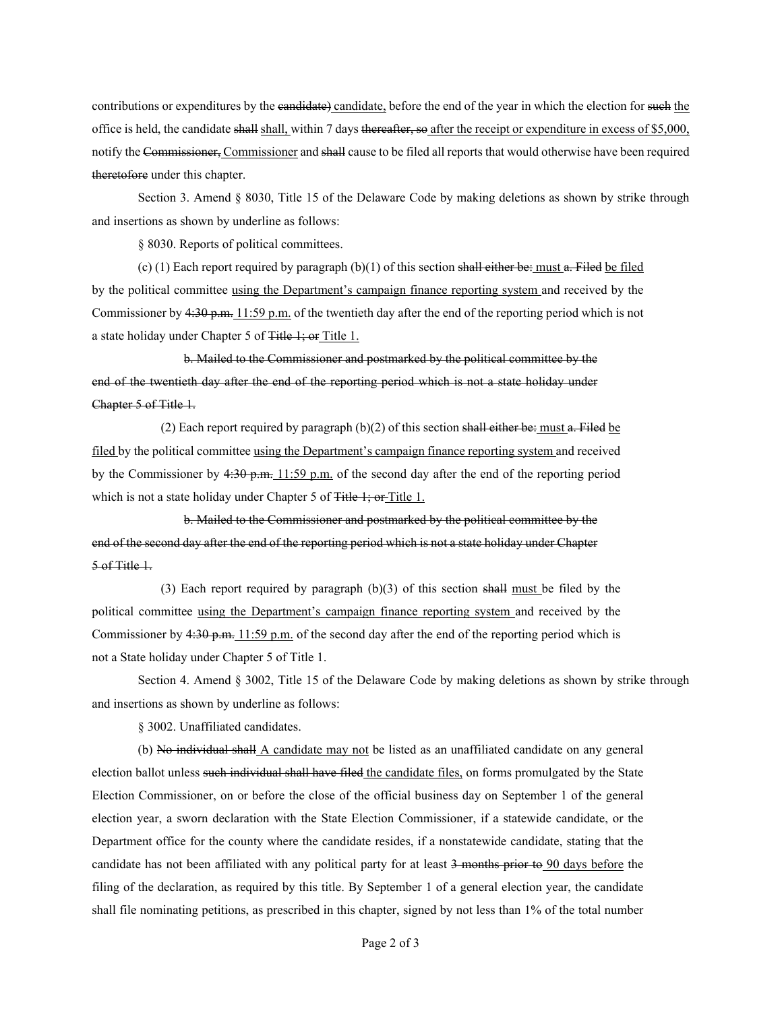contributions or expenditures by the candidate) candidate, before the end of the year in which the election for such the office is held, the candidate shall shall, within 7 days thereafter, so after the receipt or expenditure in excess of \$5,000, notify the Commissioner, Commissioner and shall cause to be filed all reports that would otherwise have been required theretofore under this chapter.

Section 3. Amend § 8030, Title 15 of the Delaware Code by making deletions as shown by strike through and insertions as shown by underline as follows:

§ 8030. Reports of political committees.

(c) (1) Each report required by paragraph  $(b)(1)$  of this section shall either be: must a. Filed be filed by the political committee using the Department's campaign finance reporting system and received by the Commissioner by 4:30 p.m. 11:59 p.m. of the twentieth day after the end of the reporting period which is not a state holiday under Chapter 5 of Title 1; or Title 1.

b. Mailed to the Commissioner and postmarked by the political committee by the end of the twentieth day after the end of the reporting period which is not a state holiday under Chapter 5 of Title 1.

(2) Each report required by paragraph  $(b)(2)$  of this section shall either be: must a. Filed be filed by the political committee using the Department's campaign finance reporting system and received by the Commissioner by 4:30 p.m. 11:59 p.m. of the second day after the end of the reporting period which is not a state holiday under Chapter 5 of Title 1; or Title 1.

b. Mailed to the Commissioner and postmarked by the political committee by the end of the second day after the end of the reporting period which is not a state holiday under Chapter 5 of Title 1.

(3) Each report required by paragraph (b)(3) of this section shall must be filed by the political committee using the Department's campaign finance reporting system and received by the Commissioner by 4:30 p.m. 11:59 p.m. of the second day after the end of the reporting period which is not a State holiday under Chapter 5 of Title 1.

Section 4. Amend § 3002, Title 15 of the Delaware Code by making deletions as shown by strike through and insertions as shown by underline as follows:

§ 3002. Unaffiliated candidates.

(b) No individual shall A candidate may not be listed as an unaffiliated candidate on any general election ballot unless such individual shall have filed the candidate files, on forms promulgated by the State Election Commissioner, on or before the close of the official business day on September 1 of the general election year, a sworn declaration with the State Election Commissioner, if a statewide candidate, or the Department office for the county where the candidate resides, if a nonstatewide candidate, stating that the candidate has not been affiliated with any political party for at least 3 months prior to 90 days before the filing of the declaration, as required by this title. By September 1 of a general election year, the candidate shall file nominating petitions, as prescribed in this chapter, signed by not less than 1% of the total number